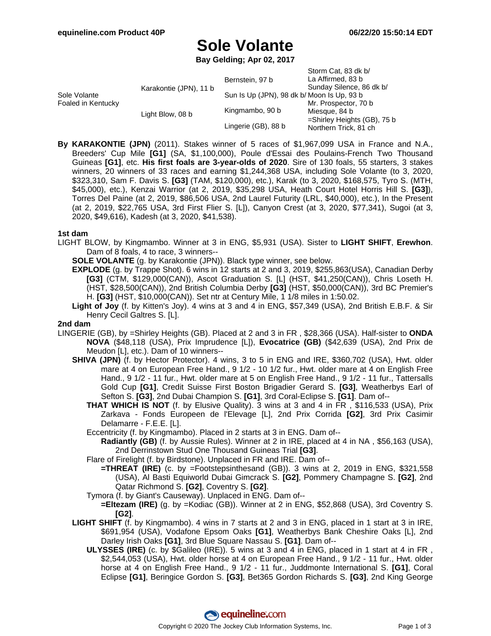# **Sole Volante**

**Bay Gelding; Apr 02, 2017**

|                                    |                        | Bernstein, 97 b                            | Storm Cat, 83 dk b/<br>La Affirmed, 83 b |
|------------------------------------|------------------------|--------------------------------------------|------------------------------------------|
| Sole Volante<br>Foaled in Kentucky | Karakontie (JPN), 11 b |                                            | Sunday Silence, 86 dk b/                 |
|                                    |                        | Sun Is Up (JPN), 98 dk b/ Moon Is Up, 93 b |                                          |
|                                    | Light Blow, 08 b       | Kingmambo, 90 b                            | Mr. Prospector, 70 b                     |
|                                    |                        |                                            | Miesque, 84 b                            |
|                                    |                        | Lingerie (GB), 88 b                        | $=$ Shirley Heights (GB), 75 b           |
|                                    |                        |                                            | Northern Trick, 81 ch                    |

**By KARAKONTIE (JPN)** (2011). Stakes winner of 5 races of \$1,967,099 USA in France and N.A., Breeders' Cup Mile **[G1]** (SA, \$1,100,000), Poule d'Essai des Poulains-French Two Thousand Guineas **[G1]**, etc. **His first foals are 3-year-olds of 2020**. Sire of 130 foals, 55 starters, 3 stakes winners, 20 winners of 33 races and earning \$1,244,368 USA, including Sole Volante (to 3, 2020, \$323,310, Sam F. Davis S. **[G3]** (TAM, \$120,000), etc.), Karak (to 3, 2020, \$168,575, Tyro S. (MTH, \$45,000), etc.), Kenzai Warrior (at 2, 2019, \$35,298 USA, Heath Court Hotel Horris Hill S. **[G3]**), Torres Del Paine (at 2, 2019, \$86,506 USA, 2nd Laurel Futurity (LRL, \$40,000), etc.), In the Present (at 2, 2019, \$22,765 USA, 3rd First Flier S. [L]), Canyon Crest (at 3, 2020, \$77,341), Sugoi (at 3, 2020, \$49,616), Kadesh (at 3, 2020, \$41,538).

### **1st dam**

- LIGHT BLOW, by Kingmambo. Winner at 3 in ENG, \$5,931 (USA). Sister to **LIGHT SHIFT**, **Erewhon**. Dam of 8 foals, 4 to race, 3 winners--
	- **SOLE VOLANTE** (g. by Karakontie (JPN)). Black type winner, see below.
	- **EXPLODE** (g. by Trappe Shot). 6 wins in 12 starts at 2 and 3, 2019, \$255,863(USA), Canadian Derby **[G3]** (CTM, \$129,000(CAN)), Ascot Graduation S. [L] (HST, \$41,250(CAN)), Chris Loseth H. (HST, \$28,500(CAN)), 2nd British Columbia Derby **[G3]** (HST, \$50,000(CAN)), 3rd BC Premier's H. **[G3]** (HST, \$10,000(CAN)). Set ntr at Century Mile, 1 1/8 miles in 1:50.02.

**Light of Joy** (f. by Kitten's Joy). 4 wins at 3 and 4 in ENG, \$57,349 (USA), 2nd British E.B.F. & Sir Henry Cecil Galtres S. [L].

#### **2nd dam**

- LINGERIE (GB), by =Shirley Heights (GB). Placed at 2 and 3 in FR , \$28,366 (USA). Half-sister to **ONDA NOVA** (\$48,118 (USA), Prix Imprudence [L]), **Evocatrice (GB)** (\$42,639 (USA), 2nd Prix de Meudon [L], etc.). Dam of 10 winners--
	- **SHIVA (JPN)** (f. by Hector Protector). 4 wins, 3 to 5 in ENG and IRE, \$360,702 (USA), Hwt. older mare at 4 on European Free Hand., 9 1/2 - 10 1/2 fur., Hwt. older mare at 4 on English Free Hand., 9 1/2 - 11 fur., Hwt. older mare at 5 on English Free Hand., 9 1/2 - 11 fur., Tattersalls Gold Cup **[G1]**, Credit Suisse First Boston Brigadier Gerard S. **[G3]**, Weatherbys Earl of Sefton S. **[G3]**, 2nd Dubai Champion S. **[G1]**, 3rd Coral-Eclipse S. **[G1]**. Dam of--
		- **THAT WHICH IS NOT** (f. by Elusive Quality). 3 wins at 3 and 4 in FR , \$116,533 (USA), Prix Zarkava - Fonds Europeen de l'Elevage [L], 2nd Prix Corrida **[G2]**, 3rd Prix Casimir Delamarre - F.E.E. [L].
		- Eccentricity (f. by Kingmambo). Placed in 2 starts at 3 in ENG. Dam of--
			- **Radiantly (GB)** (f. by Aussie Rules). Winner at 2 in IRE, placed at 4 in NA , \$56,163 (USA), 2nd Derrinstown Stud One Thousand Guineas Trial **[G3]**.
		- Flare of Firelight (f. by Birdstone). Unplaced in FR and IRE. Dam of--
		- **=THREAT (IRE)** (c. by =Footstepsinthesand (GB)). 3 wins at 2, 2019 in ENG, \$321,558 (USA), Al Basti Equiworld Dubai Gimcrack S. **[G2]**, Pommery Champagne S. **[G2]**, 2nd Qatar Richmond S. **[G2]**, Coventry S. **[G2]**.
		- Tymora (f. by Giant's Causeway). Unplaced in ENG. Dam of--
		- **=Eltezam (IRE)** (g. by =Kodiac (GB)). Winner at 2 in ENG, \$52,868 (USA), 3rd Coventry S. **[G2]**.
	- **LIGHT SHIFT** (f. by Kingmambo). 4 wins in 7 starts at 2 and 3 in ENG, placed in 1 start at 3 in IRE, \$691,954 (USA), Vodafone Epsom Oaks **[G1]**, Weatherbys Bank Cheshire Oaks [L], 2nd Darley Irish Oaks **[G1]**, 3rd Blue Square Nassau S. **[G1]**. Dam of--
		- **ULYSSES (IRE)** (c. by \$Galileo (IRE)). 5 wins at 3 and 4 in ENG, placed in 1 start at 4 in FR , \$2,544,053 (USA), Hwt. older horse at 4 on European Free Hand., 9 1/2 - 11 fur., Hwt. older horse at 4 on English Free Hand., 9 1/2 - 11 fur., Juddmonte International S. **[G1]**, Coral Eclipse **[G1]**, Beringice Gordon S. **[G3]**, Bet365 Gordon Richards S. **[G3]**, 2nd King George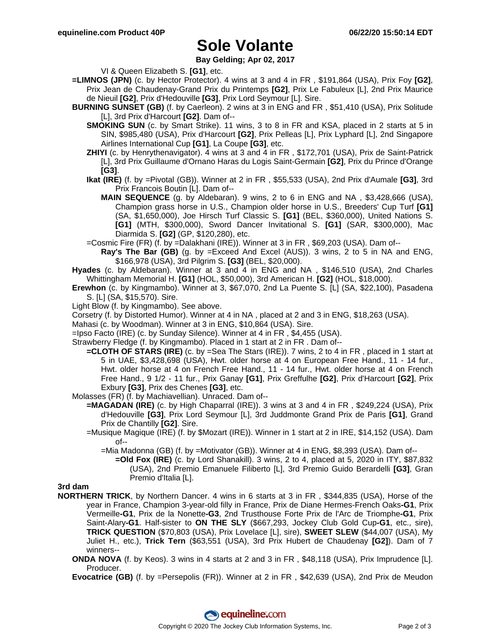# **Sole Volante**

**Bay Gelding; Apr 02, 2017**

VI & Queen Elizabeth S. **[G1]**, etc.

- **=LIMNOS (JPN)** (c. by Hector Protector). 4 wins at 3 and 4 in FR , \$191,864 (USA), Prix Foy **[G2]**, Prix Jean de Chaudenay-Grand Prix du Printemps **[G2]**, Prix Le Fabuleux [L], 2nd Prix Maurice de Nieuil **[G2]**, Prix d'Hedouville **[G3]**, Prix Lord Seymour [L]. Sire.
- **BURNING SUNSET (GB)** (f. by Caerleon). 2 wins at 3 in ENG and FR , \$51,410 (USA), Prix Solitude [L], 3rd Prix d'Harcourt **[G2]**. Dam of--
	- **SMOKING SUN** (c. by Smart Strike). 11 wins, 3 to 8 in FR and KSA, placed in 2 starts at 5 in SIN, \$985,480 (USA), Prix d'Harcourt **[G2]**, Prix Pelleas [L], Prix Lyphard [L], 2nd Singapore Airlines International Cup **[G1]**, La Coupe **[G3]**, etc.
	- **ZHIYI** (c. by Henrythenavigator). 4 wins at 3 and 4 in FR , \$172,701 (USA), Prix de Saint-Patrick [L], 3rd Prix Guillaume d'Ornano Haras du Logis Saint-Germain **[G2]**, Prix du Prince d'Orange **[G3]**.
	- **Ikat (IRE)** (f. by =Pivotal (GB)). Winner at 2 in FR , \$55,533 (USA), 2nd Prix d'Aumale **[G3]**, 3rd Prix Francois Boutin [L]. Dam of--
		- **MAIN SEQUENCE** (g. by Aldebaran). 9 wins, 2 to 6 in ENG and NA , \$3,428,666 (USA), Champion grass horse in U.S., Champion older horse in U.S., Breeders' Cup Turf **[G1]** (SA, \$1,650,000), Joe Hirsch Turf Classic S. **[G1]** (BEL, \$360,000), United Nations S. **[G1]** (MTH, \$300,000), Sword Dancer Invitational S. **[G1]** (SAR, \$300,000), Mac Diarmida S. **[G2]** (GP, \$120,280), etc.
	- =Cosmic Fire (FR) (f. by =Dalakhani (IRE)). Winner at 3 in FR , \$69,203 (USA). Dam of--
		- **Ray's The Bar (GB)** (g. by =Exceed And Excel (AUS)). 3 wins, 2 to 5 in NA and ENG, \$166,978 (USA), 3rd Pilgrim S. **[G3]** (BEL, \$20,000).
- **Hyades** (c. by Aldebaran). Winner at 3 and 4 in ENG and NA , \$146,510 (USA), 2nd Charles Whittingham Memorial H. **[G1]** (HOL, \$50,000), 3rd American H. **[G2]** (HOL, \$18,000).
- **Erewhon** (c. by Kingmambo). Winner at 3, \$67,070, 2nd La Puente S. [L] (SA, \$22,100), Pasadena S. [L] (SA, \$15,570). Sire.
- Light Blow (f. by Kingmambo). See above.
- Corsetry (f. by Distorted Humor). Winner at 4 in NA , placed at 2 and 3 in ENG, \$18,263 (USA).
- Mahasi (c. by Woodman). Winner at 3 in ENG, \$10,864 (USA). Sire.
- =Ipso Facto (IRE) (c. by Sunday Silence). Winner at 4 in FR , \$4,455 (USA).
- Strawberry Fledge (f. by Kingmambo). Placed in 1 start at 2 in FR . Dam of--
	- **=CLOTH OF STARS (IRE)** (c. by =Sea The Stars (IRE)). 7 wins, 2 to 4 in FR , placed in 1 start at 5 in UAE, \$3,428,698 (USA), Hwt. older horse at 4 on European Free Hand., 11 - 14 fur., Hwt. older horse at 4 on French Free Hand., 11 - 14 fur., Hwt. older horse at 4 on French Free Hand., 9 1/2 - 11 fur., Prix Ganay **[G1]**, Prix Greffulhe **[G2]**, Prix d'Harcourt **[G2]**, Prix Exbury **[G3]**, Prix des Chenes **[G3]**, etc.
- Molasses (FR) (f. by Machiavellian). Unraced. Dam of--
	- **=MAGADAN (IRE)** (c. by High Chaparral (IRE)). 3 wins at 3 and 4 in FR , \$249,224 (USA), Prix d'Hedouville **[G3]**, Prix Lord Seymour [L], 3rd Juddmonte Grand Prix de Paris **[G1]**, Grand Prix de Chantilly **[G2]**. Sire.
		- =Musique Magique (IRE) (f. by \$Mozart (IRE)). Winner in 1 start at 2 in IRE, \$14,152 (USA). Dam of--
			- =Mia Madonna (GB) (f. by =Motivator (GB)). Winner at 4 in ENG, \$8,393 (USA). Dam of--
				- **=Old Fox (IRE)** (c. by Lord Shanakill). 3 wins, 2 to 4, placed at 5, 2020 in ITY, \$87,832 (USA), 2nd Premio Emanuele Filiberto [L], 3rd Premio Guido Berardelli **[G3]**, Gran Premio d'Italia [L].

**3rd dam**

- **NORTHERN TRICK**, by Northern Dancer. 4 wins in 6 starts at 3 in FR , \$344,835 (USA), Horse of the year in France, Champion 3-year-old filly in France, Prix de Diane Hermes-French Oaks**-G1**, Prix Vermeille**-G1**, Prix de la Nonette**-G3**, 2nd Trusthouse Forte Prix de l'Arc de Triomphe**-G1**, Prix Saint-Alary**-G1**. Half-sister to **ON THE SLY** (\$667,293, Jockey Club Gold Cup**-G1**, etc., sire), **TRICK QUESTION** (\$70,803 (USA), Prix Lovelace [L], sire), **SWEET SLEW** (\$44,007 (USA), My Juliet H., etc.), **Trick Tern** (\$63,551 (USA), 3rd Prix Hubert de Chaudenay **[G2]**). Dam of 7 winners--
	- **ONDA NOVA** (f. by Keos). 3 wins in 4 starts at 2 and 3 in FR , \$48,118 (USA), Prix Imprudence [L]. Producer.
	- **Evocatrice (GB)** (f. by =Persepolis (FR)). Winner at 2 in FR , \$42,639 (USA), 2nd Prix de Meudon